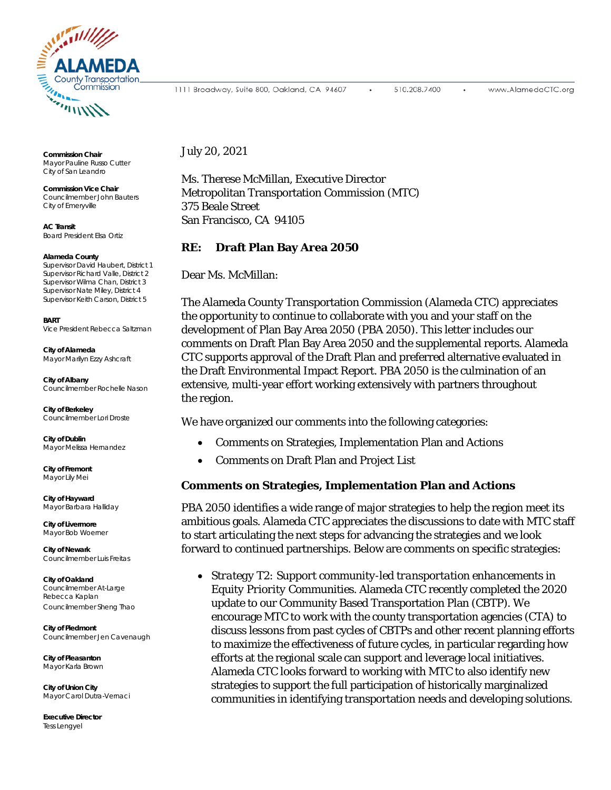

**Commission Chair** Mayor Pauline Russo Cutter City of San Leandro

**Commission Vice Chair** Councilmember John Bauters City of Emeryville

**AC Transit** Board President Elsa Ortiz

## **Alameda County**

Supervisor David Haubert, District 1 Supervisor Richard Valle, District 2 Supervisor Wilma Chan, District 3 Supervisor Nate Miley, District 4 Supervisor Keith Carson, District 5

**BART** Vice President Rebecca Saltzman

**City of Alameda** Mayor Marilyn Ezzy Ashcraft

**City of Albany** Councilmember Rochelle Nason

**City of Berkeley** Councilmember Lori Droste

**City of Dublin** Mayor Melissa Hernandez

**City of Fremont** Mayor Lily Mei

**City of Hayward** Mayor Barbara Halliday

**City of Livermore** Mayor Bob Woerner

**City of Newark** Councilmember Luis Freitas

**City of Oakland** Councilmember At-Large Rebecca Kaplan Councilmember Sheng Thao

**City of Piedmont** Councilmember Jen Cavenaugh

**City of Pleasanton** Mayor Karla Brown

**City of Union City** Mayor Carol Dutra-Vernaci

**Executive Director** Tess Lengyel

1111 Broadway, Suite 800, Oakland, CA 94607

510.208.7400

July 20, 2021

Ms. Therese McMillan, Executive Director Metropolitan Transportation Commission (MTC) 375 Beale Street San Francisco, CA 94105

## **RE: Draft Plan Bay Area 2050**

Dear Ms. McMillan:

The Alameda County Transportation Commission (Alameda CTC) appreciates the opportunity to continue to collaborate with you and your staff on the development of Plan Bay Area 2050 (PBA 2050). This letter includes our comments on Draft Plan Bay Area 2050 and the supplemental reports. Alameda CTC supports approval of the Draft Plan and preferred alternative evaluated in the Draft Environmental Impact Report. PBA 2050 is the culmination of an extensive, multi-year effort working extensively with partners throughout the region.

We have organized our comments into the following categories:

- Comments on Strategies, Implementation Plan and Actions
- Comments on Draft Plan and Project List

## **Comments on Strategies, Implementation Plan and Actions**

PBA 2050 identifies a wide range of major strategies to help the region meet its ambitious goals. Alameda CTC appreciates the discussions to date with MTC staff to start articulating the next steps for advancing the strategies and we look forward to continued partnerships. Below are comments on specific strategies:

• *Strategy T2: Support community-led transportation enhancements in Equity Priority Communities.* Alameda CTC recently completed the 2020 update to our Community Based Transportation Plan (CBTP). We encourage MTC to work with the county transportation agencies (CTA) to discuss lessons from past cycles of CBTPs and other recent planning efforts to maximize the effectiveness of future cycles, in particular regarding how efforts at the regional scale can support and leverage local initiatives. Alameda CTC looks forward to working with MTC to also identify new strategies to support the full participation of historically marginalized communities in identifying transportation needs and developing solutions.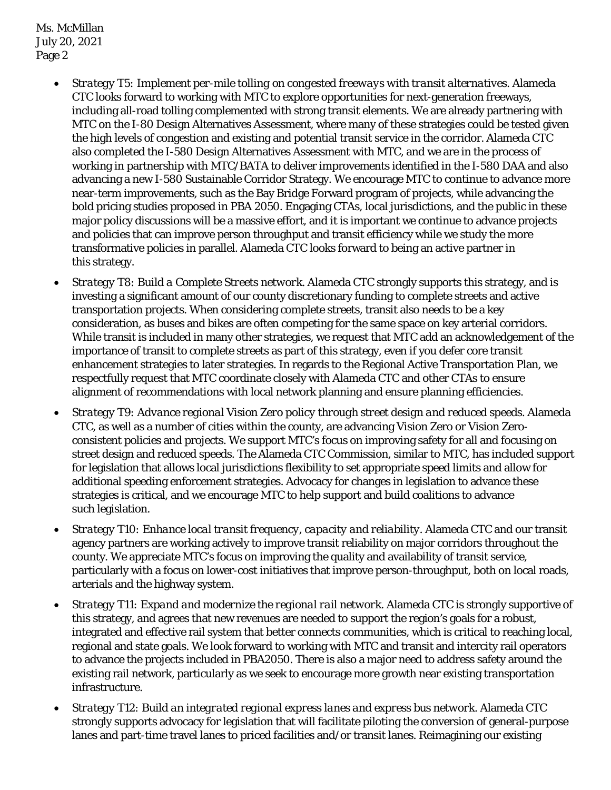Ms. McMillan July 20, 2021 Page 2

- *Strategy T5: Implement per-mile tolling on congested freeways with transit alternatives*. Alameda CTC looks forward to working with MTC to explore opportunities for next-generation freeways, including all-road tolling complemented with strong transit elements. We are already partnering with MTC on the I-80 Design Alternatives Assessment, where many of these strategies could be tested given the high levels of congestion and existing and potential transit service in the corridor. Alameda CTC also completed the I-580 Design Alternatives Assessment with MTC, and we are in the process of working in partnership with MTC/BATA to deliver improvements identified in the I-580 DAA and also advancing a new I-580 Sustainable Corridor Strategy. We encourage MTC to continue to advance more near-term improvements, such as the Bay Bridge Forward program of projects, while advancing the bold pricing studies proposed in PBA 2050. Engaging CTAs, local jurisdictions, and the public in these major policy discussions will be a massive effort, and it is important we continue to advance projects and policies that can improve person throughput and transit efficiency while we study the more transformative policies in parallel. Alameda CTC looks forward to being an active partner in this strategy.
- *Strategy T8: Build a Complete Streets network*. Alameda CTC strongly supports this strategy, and is investing a significant amount of our county discretionary funding to complete streets and active transportation projects. When considering complete streets, transit also needs to be a key consideration, as buses and bikes are often competing for the same space on key arterial corridors. While transit is included in many other strategies, we request that MTC add an acknowledgement of the importance of transit to complete streets as part of this strategy, even if you defer core transit enhancement strategies to later strategies. In regards to the Regional Active Transportation Plan, we respectfully request that MTC coordinate closely with Alameda CTC and other CTAs to ensure alignment of recommendations with local network planning and ensure planning efficiencies.
- *Strategy T9: Advance regional Vision Zero policy through street design and reduced speeds.* Alameda CTC, as well as a number of cities within the county, are advancing Vision Zero or Vision Zeroconsistent policies and projects. We support MTC's focus on improving safety for all and focusing on street design and reduced speeds. The Alameda CTC Commission, similar to MTC, has included support for legislation that allows local jurisdictions flexibility to set appropriate speed limits and allow for additional speeding enforcement strategies. Advocacy for changes in legislation to advance these strategies is critical, and we encourage MTC to help support and build coalitions to advance such legislation.
- *Strategy T10: Enhance local transit frequency, capacity and reliability*. Alameda CTC and our transit agency partners are working actively to improve transit reliability on major corridors throughout the county. We appreciate MTC's focus on improving the quality and availability of transit service, particularly with a focus on lower-cost initiatives that improve person-throughput, both on local roads, arterials and the highway system.
- *Strategy T11: Expand and modernize the regional rail network.* Alameda CTC is strongly supportive of this strategy, and agrees that new revenues are needed to support the region's goals for a robust, integrated and effective rail system that better connects communities, which is critical to reaching local, regional and state goals. We look forward to working with MTC and transit and intercity rail operators to advance the projects included in PBA2050. There is also a major need to address safety around the existing rail network, particularly as we seek to encourage more growth near existing transportation infrastructure.
- *Strategy T12: Build an integrated regional express lanes and express bus network*. Alameda CTC strongly supports advocacy for legislation that will facilitate piloting the conversion of general-purpose lanes and part-time travel lanes to priced facilities and/or transit lanes. Reimagining our existing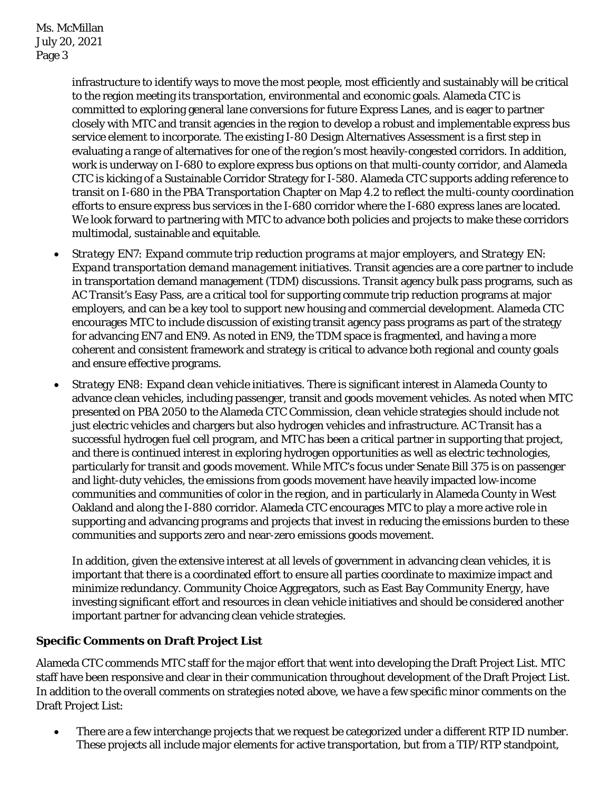infrastructure to identify ways to move the most people, most efficiently and sustainably will be critical to the region meeting its transportation, environmental and economic goals. Alameda CTC is committed to exploring general lane conversions for future Express Lanes, and is eager to partner closely with MTC and transit agencies in the region to develop a robust and implementable express bus service element to incorporate. The existing I-80 Design Alternatives Assessment is a first step in evaluating a range of alternatives for one of the region's most heavily-congested corridors. In addition, work is underway on I-680 to explore express bus options on that multi-county corridor, and Alameda CTC is kicking of a Sustainable Corridor Strategy for I-580. Alameda CTC supports adding reference to transit on I-680 in the PBA Transportation Chapter on Map 4.2 to reflect the multi-county coordination efforts to ensure express bus services in the I-680 corridor where the I-680 express lanes are located. We look forward to partnering with MTC to advance both policies and projects to make these corridors multimodal, sustainable and equitable.

- *Strategy EN7: Expand commute trip reduction programs at major employers, and Strategy EN: Expand transportation demand management initiatives*. Transit agencies are a core partner to include in transportation demand management (TDM) discussions. Transit agency bulk pass programs, such as AC Transit's Easy Pass, are a critical tool for supporting commute trip reduction programs at major employers, and can be a key tool to support new housing and commercial development. Alameda CTC encourages MTC to include discussion of existing transit agency pass programs as part of the strategy for advancing EN7 and EN9. As noted in EN9, the TDM space is fragmented, and having a more coherent and consistent framework and strategy is critical to advance both regional and county goals and ensure effective programs.
- *Strategy EN8: Expand clean vehicle initiatives.* There is significant interest in Alameda County to advance clean vehicles, including passenger, transit and goods movement vehicles. As noted when MTC presented on PBA 2050 to the Alameda CTC Commission, clean vehicle strategies should include not just electric vehicles and chargers but also hydrogen vehicles and infrastructure. AC Transit has a successful hydrogen fuel cell program, and MTC has been a critical partner in supporting that project, and there is continued interest in exploring hydrogen opportunities as well as electric technologies, particularly for transit and goods movement. While MTC's focus under Senate Bill 375 is on passenger and light-duty vehicles, the emissions from goods movement have heavily impacted low-income communities and communities of color in the region, and in particularly in Alameda County in West Oakland and along the I-880 corridor. Alameda CTC encourages MTC to play a more active role in supporting and advancing programs and projects that invest in reducing the emissions burden to these communities and supports zero and near-zero emissions goods movement.

In addition, given the extensive interest at all levels of government in advancing clean vehicles, it is important that there is a coordinated effort to ensure all parties coordinate to maximize impact and minimize redundancy. Community Choice Aggregators, such as East Bay Community Energy, have investing significant effort and resources in clean vehicle initiatives and should be considered another important partner for advancing clean vehicle strategies.

## **Specific Comments on Draft Project List**

Alameda CTC commends MTC staff for the major effort that went into developing the Draft Project List. MTC staff have been responsive and clear in their communication throughout development of the Draft Project List. In addition to the overall comments on strategies noted above, we have a few specific minor comments on the Draft Project List:

• There are a few interchange projects that we request be categorized under a different RTP ID number. These projects all include major elements for active transportation, but from a TIP/RTP standpoint,